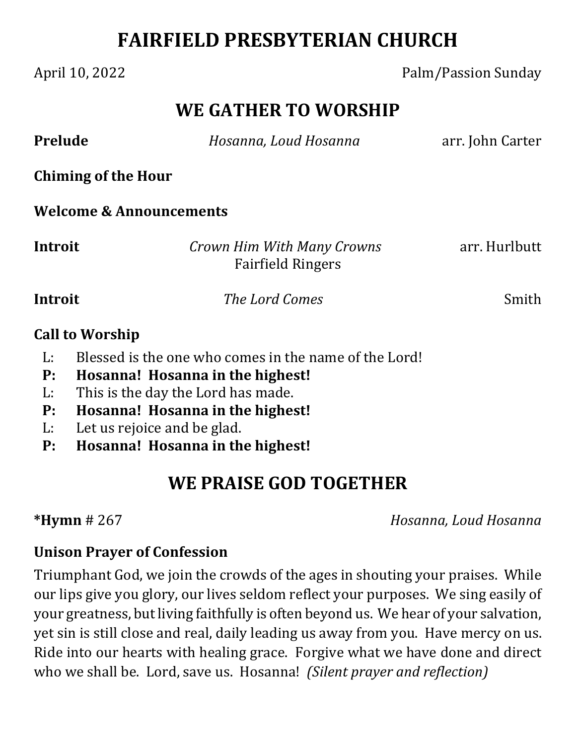# **FAIRFIELD PRESBYTERIAN CHURCH**

#### April 10, 2022 **Palm/Passion Sunday**

## **WE GATHER TO WORSHIP**

| <b>Prelude</b>                     | Hosanna, Loud Hosanna                                  | arr. John Carter |
|------------------------------------|--------------------------------------------------------|------------------|
| <b>Chiming of the Hour</b>         |                                                        |                  |
| <b>Welcome &amp; Announcements</b> |                                                        |                  |
| Introit                            | Crown Him With Many Crowns<br><b>Fairfield Ringers</b> | arr. Hurlbutt    |
| Introit                            | The Lord Comes                                         | Smith            |
| <b>Call to Worship</b>             | <b>I</b> Distribution is the control of the Latin      |                  |

- L: Blessed is the one who comes in the name of the Lord!
- **P: Hosanna! Hosanna in the highest!**
- L: This is the day the Lord has made.
- **P: Hosanna! Hosanna in the highest!**
- L: Let us rejoice and be glad.
- **P: Hosanna! Hosanna in the highest!**

# **WE PRAISE GOD TOGETHER**

**\*Hymn** # 267 *Hosanna, Loud Hosanna*

### **Unison Prayer of Confession**

Triumphant God, we join the crowds of the ages in shouting your praises. While our lips give you glory, our lives seldom reflect your purposes. We sing easily of your greatness, but living faithfully is often beyond us. We hear of your salvation, yet sin is still close and real, daily leading us away from you. Have mercy on us. Ride into our hearts with healing grace. Forgive what we have done and direct who we shall be. Lord, save us. Hosanna! *(Silent prayer and reflection)*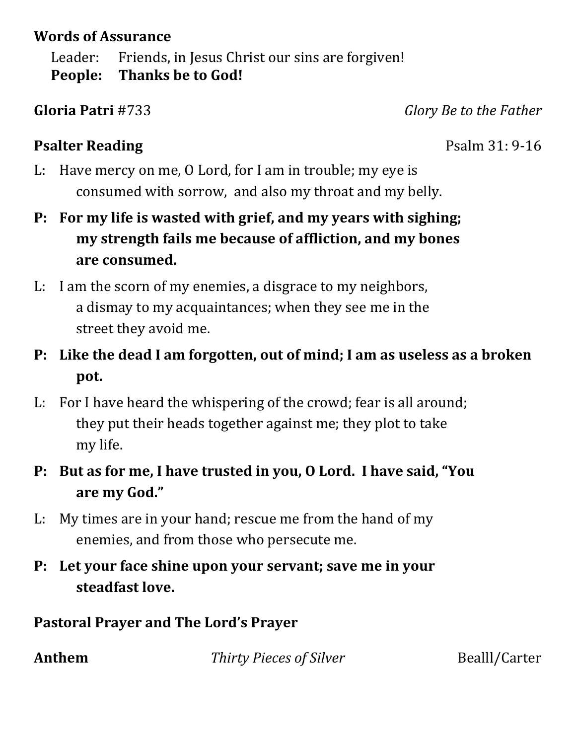#### **Words of Assurance**

Leader: Friends, in Jesus Christ our sins are forgiven! **People: Thanks be to God!**

**Gloria Patri** #733 *Glory Be to the Father*

### **Psalter Reading** Psalm 31: 9-16

- L: Have mercy on me, O Lord, for I am in trouble; my eye is consumed with sorrow, and also my throat and my belly.
- **P: For my life is wasted with grief, and my years with sighing; my strength fails me because of affliction, and my bones are consumed.**
- L: I am the scorn of my enemies, a disgrace to my neighbors, a dismay to my acquaintances; when they see me in the street they avoid me.
- **P: Like the dead I am forgotten, out of mind; I am as useless as a broken pot.**
- L: For I have heard the whispering of the crowd; fear is all around; they put their heads together against me; they plot to take my life.
- **P: But as for me, I have trusted in you, O Lord. I have said, "You are my God."**
- L: My times are in your hand; rescue me from the hand of my enemies, and from those who persecute me.
- **P: Let your face shine upon your servant; save me in your steadfast love.**

### **Pastoral Prayer and The Lord's Prayer**

**Anthem** *<i>Thirty Pieces of Silver* **Bealll/Carter**